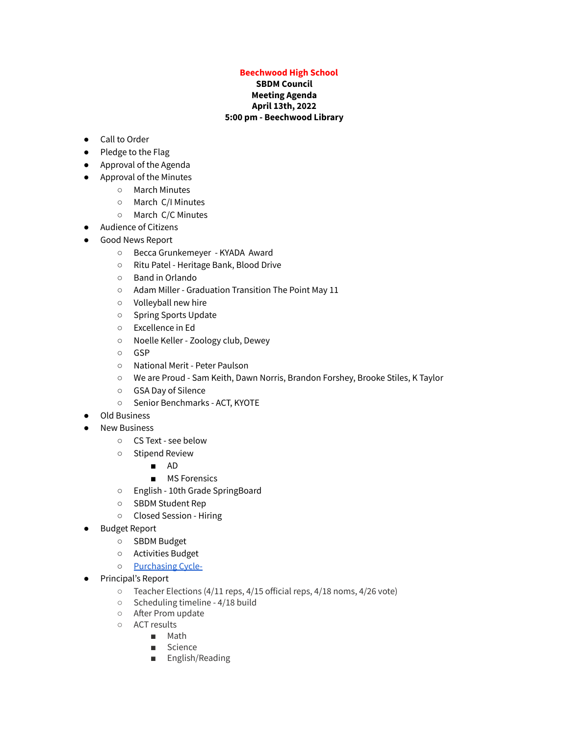## **Beechwood High School**

## **SBDM Council Meeting Agenda April 13th, 2022 5:00 pm - Beechwood Library**

- Call to Order
- Pledge to the Flag
- Approval of the Agenda
- Approval of the Minutes
	- March Minutes
	- March C/I Minutes
	- March C/C Minutes
- Audience of Citizens
- Good News Report
	- Becca Grunkemeyer KYADA Award
	- Ritu Patel Heritage Bank, Blood Drive
	- Band in Orlando
	- Adam Miller Graduation Transition The Point May 11
	- Volleyball new hire
	- Spring Sports Update
	- Excellence in Ed
	- Noelle Keller Zoology club, Dewey
	- GSP
	- National Merit Peter Paulson
	- We are Proud Sam Keith, Dawn Norris, Brandon Forshey, Brooke Stiles, K Taylor
	- GSA Day of Silence
	- Senior Benchmarks ACT, KYOTE
- **Old Business**
- **New Business** 
	- CS Text see below
	- Stipend Review
		- AD
		- MS Forensics
	- English 10th Grade SpringBoard
	- SBDM Student Rep
	- Closed Session Hiring
- Budget Report
	- SBDM Budget
	- Activities Budget
	- o [Purchasing](https://docs.google.com/spreadsheets/d/1ZklGCywipIpgben3HfocZIhWnnTtVq1FQ_TWIrN7nz0/edit?usp=sharing) Cycle-
- Principal's Report
	- Teacher Elections (4/11 reps, 4/15 official reps, 4/18 noms, 4/26 vote)
	- Scheduling timeline 4/18 build
	- After Prom update
	- ACT results
		- Math
		- Science
		- English/Reading